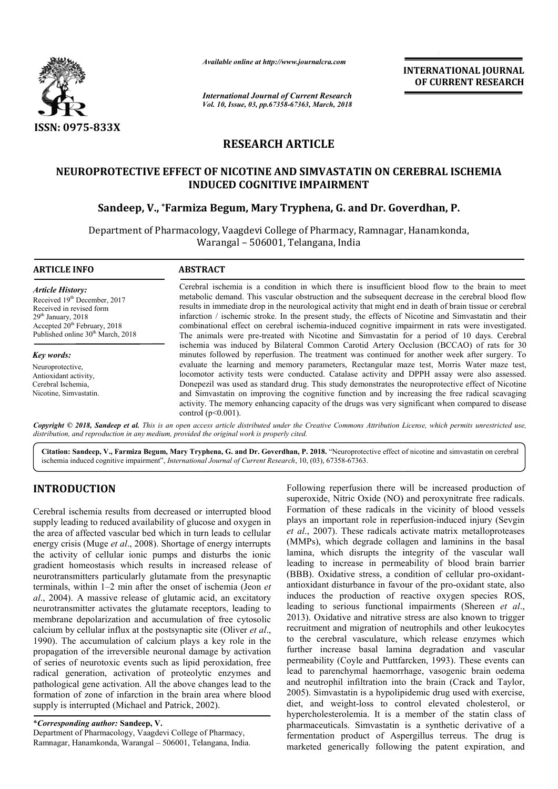

*Available online at http://www.journalcra.com*

*International Journal of Current Research Vol. 10, Issue, 03, pp.67358-67363, March, 2018* **INTERNATIONAL JOURNAL OF CURRENT RESEARCH**

# **RESEARCH ARTICLE**

# **NEUROPROTECTIVE EFFECT OF NICOTINE AND SIMVASTATIN ON CEREBRAL ISCHEMIA INDUCED COGNITIVE IMPAIRMENT** NEUROPROTECTIVE EFFECT OF NICOTINE AND SIMVASTATIN ON CEREBRAL IS<br>INDUCED COGNITIVE IMPAIRMENT<br>Sandeep, V., \*Farmiza Begum, Mary Tryphena, G. and Dr. Goverdhan, P.

Department of Pharmacology, Vaagdevi College of Pharmacy, Ramnagar, Hanamkonda, Warangal – 506001, Telangana, India

| <b>ARTICLE INFO</b>                                                                                                                                                                                        | <b>ABSTRACT</b>                                                                                                                                                                                                                                                                                                                                                                                                                                                                                                                                                                                                                                                                                                               |
|------------------------------------------------------------------------------------------------------------------------------------------------------------------------------------------------------------|-------------------------------------------------------------------------------------------------------------------------------------------------------------------------------------------------------------------------------------------------------------------------------------------------------------------------------------------------------------------------------------------------------------------------------------------------------------------------------------------------------------------------------------------------------------------------------------------------------------------------------------------------------------------------------------------------------------------------------|
| <b>Article History:</b><br>Received 19th December, 2017<br>Received in revised form<br>$29th$ January, $2018$<br>Accepted 20 <sup>th</sup> February, 2018<br>Published online 30 <sup>th</sup> March, 2018 | Cerebral ischemia is a condition in which there is insufficient blood flow to the brain to meet<br>metabolic demand. This vascular obstruction and the subsequent decrease in the cerebral blood flow<br>results in immediate drop in the neurological activity that might end in death of brain tissue or cerebral<br>infarction / ischemic stroke. In the present study, the effects of Nicotine and Simvastatin and their<br>combinational effect on cerebral ischemia-induced cognitive impairment in rats were investigated.<br>The animals were pre-treated with Nicotine and Simvastatin for a period of 10 days. Cerebral<br>ischemia was induced by Bilateral Common Carotid Artery Occlusion (BCCAO) of rats for 30 |
| Key words:                                                                                                                                                                                                 | minutes followed by reperfusion. The treatment was continued for another week after surgery. To                                                                                                                                                                                                                                                                                                                                                                                                                                                                                                                                                                                                                               |
| Neuroprotective,                                                                                                                                                                                           | evaluate the learning and memory parameters, Rectangular maze test, Morris Water maze test,                                                                                                                                                                                                                                                                                                                                                                                                                                                                                                                                                                                                                                   |
| Antioxidant activity,                                                                                                                                                                                      | locomotor activity tests were conducted. Catalase activity and DPPH assay were also assessed.                                                                                                                                                                                                                                                                                                                                                                                                                                                                                                                                                                                                                                 |
| Cerebral Ischemia,                                                                                                                                                                                         | Donepezil was used as standard drug. This study demonstrates the neuroprotective effect of Nicotine                                                                                                                                                                                                                                                                                                                                                                                                                                                                                                                                                                                                                           |
| Nicotine, Simvastatin.                                                                                                                                                                                     | and Simvastatin on improving the cognitive function and by increasing the free radical scavaging                                                                                                                                                                                                                                                                                                                                                                                                                                                                                                                                                                                                                              |
|                                                                                                                                                                                                            | activity. The memory enhancing capacity of the drugs was very significant when compared to disease<br>control ( $p<0.001$ ).                                                                                                                                                                                                                                                                                                                                                                                                                                                                                                                                                                                                  |

Copyright © 2018, Sandeep et al. This is an open access article distributed under the Creative Commons Attribution License, which permits unrestricted use, *distribution, and reproduction in any medium, provided the original work is properly cited.*

Citation: Sandeep, V., Farmiza Begum, Mary Tryphena, G. and Dr. Goverdhan, P. 2018. "Neuroprotective effect of nicotine and simvastatin on cerebral ischemia induced cognitive impairment", *International Journal of Current Research*, 10, (03), 67358-67363.

# **INTRODUCTION**

Cerebral ischemia results from decreased or interrupted blood supply leading to reduced availability of glucose and oxygen in the area of affected vascular bed which in turn leads to cellular energy crisis (Muge et al., 2008). Shortage of energy interrupts the activity of cellular ionic pumps and disturbs the ionic gradient homeostasis which results in increased release of neurotransmitters particularly glutamate from the presynaptic terminals, within 1–2 min after the onset of ischemia (Jeon *et al*., 2004). A massive release of glutamic acid, an excitatory neurotransmitter activates the glutamate receptors, leading to membrane depolarization and accumulation of free cytosolic calcium by cellular influx at the postsynaptic site (Oliver  $et al.$ ) 1990). The accumulation of calcium plays a key role in the propagation of the irreversible neuronal damage by activation of series of neurotoxic events such as lipid peroxidation, free radical generation, activation of proteolytic enzymes and pathological gene activation. All the above changes lead to the formation of zone of infarction in the brain area where blood supply is interrupted (Michael and Patrick, 2002). A massive release of glutamic acid, an excitatory<br>smitter activates the glutamate receptors, leading to<br>edepolarization and accumulation of free cytosolic<br>y cellular influx at the postsynaptic site (Oliver *et al.*, The accumulation of calcium plays a ke<br>gation of the irreversible neuronal damage<br>ies of neurotoxic events such as lipid pero<br>il generation, activation of proteolytic<br>logical gene activation. All the above chang<br>tion of zo

\**Corresponding author:* **Sandeep, V.** Department of Pharmacology, Vaagdevi College of Pharmacy, Ramnagar, Hanamkonda, Warangal – 506001, Telangana, India. Following reperfusion there will be increased production of superoxide, Nitric Oxide (NO) and peroxynitrate free radicals. Formation of these radicals in the vicinity of blood vessels plays an important role in reperfusion-induced injury (Sevgin *et al*., 2007). These radicals activate matrix metalloproteases (MMPs), which degrade collagen and laminins in the basal lamina, which disrupts the integrity of the vascular wall leading to increase in permeability of blood brain barrier (BBB). Oxidative stress, a condition of cellular pro-oxidantantioxidant disturbance in favour of the pro-oxidant state, also induces the production of reactive oxygen species ROS, induces the production of reactive oxygen species ROS, leading to serious functional impairments (Shereen *et al.*, 2013). Oxidative and nitrative stress are also known to trigger recruitment and migration of neutrophils and other leukocytes to the cerebral vasculature, which release enzymes which 2013). Oxidative and nitrative stress are also known to trigger recruitment and migration of neutrophils and other leukocytes to the cerebral vasculature, which release enzymes which further increase basal lamina degradati permeability (Coyle and Puttfarcken, 1993). These events can lead to parenchymal haemorrhage, vasogenic brain oedema and neutrophil infiltration into the brain (Crack and Taylor, 2005). Simvastatin is a hypolipidemic drug used with exercise, diet, and weight-loss to control elevated cholesterol, or hypercholesterolemia. It is a member of the statin class of pharmaceuticals. Simvastatin is a synthetic derivative of a fermentation product of Aspergillus terreus. The drug is marketed generically following the patent expiration, and eperfusion there will be increased production of Nitric Oxide (NO) and peroxynitrate free radicals.<br>In the seradicals in the vicinity of blood vessels<br>portant role in reperfusion-induced injury (Sevgin 007). These radicals activate matrix metalloproteases, which degrade collagen and laminins in the basal which disrupts the integrity of the vascular wall to increase in permeability of blood brain barrier Oxidative stress, **INTERNATIONAL JOURNAL**<br> **OF CURRENT RESEARCH**<br> **OF CURRENT RESEARCH**<br> **OF CURRENT RESEARCH**<br> **IT**<br> **ID**<br> **ID**<br> **ID**<br> **ID**<br> **ID**<br> **ID**<br> **ID**<br> **ID**<br> **ID**<br> **ID**<br> **IS SIMENCT boot for statin and there is the station of the**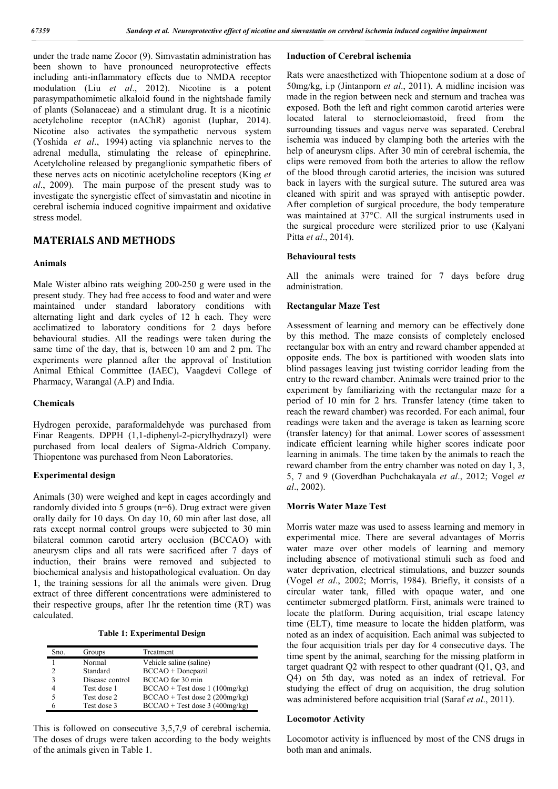under the trade name Zocor (9). Simvastatin administration has been shown to have pronounced neuroprotective effects including anti-inflammatory effects due to NMDA receptor modulation (Liu *et al*., 2012). Nicotine is a potent parasympathomimetic alkaloid found in the nightshade family of plants (Solanaceae) and a stimulant drug. It is a nicotinic acetylcholine receptor (nAChR) agonist (Iuphar, 2014). Nicotine also activates the sympathetic nervous system (Yoshida *et al*., 1994) acting via splanchnic nerves to the adrenal medulla, stimulating the release of epinephrine. Acetylcholine released by preganglionic sympathetic fibers of these nerves acts on nicotinic acetylcholine receptors (King *et al*., 2009). The main purpose of the present study was to investigate the synergistic effect of simvastatin and nicotine in cerebral ischemia induced cognitive impairment and oxidative stress model.

## **MATERIALS AND METHODS**

#### **Animals**

Male Wister albino rats weighing 200-250 g were used in the present study. They had free access to food and water and were maintained under standard laboratory conditions with alternating light and dark cycles of 12 h each. They were acclimatized to laboratory conditions for 2 days before behavioural studies. All the readings were taken during the same time of the day, that is, between 10 am and 2 pm. The experiments were planned after the approval of Institution Animal Ethical Committee (IAEC), Vaagdevi College of Pharmacy, Warangal (A.P) and India.

#### **Chemicals**

Hydrogen peroxide, paraformaldehyde was purchased from Finar Reagents. DPPH (1,1-diphenyl-2-picrylhydrazyl) were purchased from local dealers of Sigma-Aldrich Company. Thiopentone was purchased from Neon Laboratories.

#### **Experimental design**

Animals (30) were weighed and kept in cages accordingly and randomly divided into 5 groups (n=6). Drug extract were given orally daily for 10 days. On day 10, 60 min after last dose, all rats except normal control groups were subjected to 30 min bilateral common carotid artery occlusion (BCCAO) with aneurysm clips and all rats were sacrificed after 7 days of induction, their brains were removed and subjected to biochemical analysis and histopathological evaluation. On day 1, the training sessions for all the animals were given. Drug extract of three different concentrations were administered to their respective groups, after 1hr the retention time (RT) was calculated.

**Table 1: Experimental Design**

| Sno. | Groups          | Treatment                        |
|------|-----------------|----------------------------------|
|      | Normal          | Vehicle saline (saline)          |
|      | Standard        | $BCCAO + Donepazil$              |
|      | Disease control | BCCAO for 30 min                 |
|      | Test dose 1     | $BCCAO + Test$ dose 1 (100mg/kg) |
|      | Test dose 2     | $BCCAO + Test$ dose 2 (200mg/kg) |
|      | Test dose 3     | $BCCAO + Test$ dose 3 (400mg/kg) |

This is followed on consecutive 3,5,7,9 of cerebral ischemia. The doses of drugs were taken according to the body weights of the animals given in Table 1.

#### **Induction of Cerebral ischemia**

Rats were anaesthetized with Thiopentone sodium at a dose of 50mg/kg, i.p (Jintanporn *et al*., 2011). A midline incision was made in the region between neck and sternum and trachea was exposed. Both the left and right common carotid arteries were located lateral to sternocleiomastoid, freed from the surrounding tissues and vagus nerve was separated. Cerebral ischemia was induced by clamping both the arteries with the help of aneurysm clips. After 30 min of cerebral ischemia, the clips were removed from both the arteries to allow the reflow of the blood through carotid arteries, the incision was sutured back in layers with the surgical suture. The sutured area was cleaned with spirit and was sprayed with antiseptic powder. After completion of surgical procedure, the body temperature was maintained at 37°C. All the surgical instruments used in the surgical procedure were sterilized prior to use (Kalyani Pitta *et al*., 2014).

#### **Behavioural tests**

All the animals were trained for 7 days before drug administration.

#### **Rectangular Maze Test**

Assessment of learning and memory can be effectively done by this method. The maze consists of completely enclosed rectangular box with an entry and reward chamber appended at opposite ends. The box is partitioned with wooden slats into blind passages leaving just twisting corridor leading from the entry to the reward chamber. Animals were trained prior to the experiment by familiarizing with the rectangular maze for a period of 10 min for 2 hrs. Transfer latency (time taken to reach the reward chamber) was recorded. For each animal, four readings were taken and the average is taken as learning score (transfer latency) for that animal. Lower scores of assessment indicate efficient learning while higher scores indicate poor learning in animals. The time taken by the animals to reach the reward chamber from the entry chamber was noted on day 1, 3, 5, 7 and 9 (Goverdhan Puchchakayala *et al*., 2012; Vogel *et al*., 2002).

#### **Morris Water Maze Test**

Morris water maze was used to assess learning and memory in experimental mice. There are several advantages of Morris water maze over other models of learning and memory including absence of motivational stimuli such as food and water deprivation, electrical stimulations, and buzzer sounds (Vogel *et al*., 2002; Morris, 1984). Briefly, it consists of a circular water tank, filled with opaque water, and one centimeter submerged platform. First, animals were trained to locate the platform. During acquisition, trial escape latency time (ELT), time measure to locate the hidden platform, was noted as an index of acquisition. Each animal was subjected to the four acquisition trials per day for 4 consecutive days. The time spent by the animal, searching for the missing platform in target quadrant Q2 with respect to other quadrant (Q1, Q3, and Q4) on 5th day, was noted as an index of retrieval. For studying the effect of drug on acquisition, the drug solution was administered before acquisition trial (Saraf *et al*., 2011).

#### **Locomotor Activity**

Locomotor activity is influenced by most of the CNS drugs in both man and animals.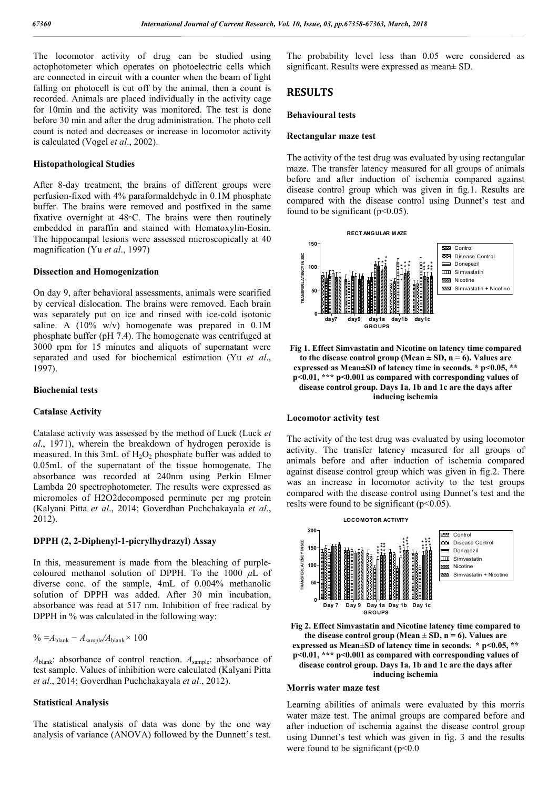The locomotor activity of drug can be studied using actophotometer which operates on photoelectric cells which are connected in circuit with a counter when the beam of light falling on photocell is cut off by the animal, then a count is recorded. Animals are placed individually in the activity cage for 10min and the activity was monitored. The test is done before 30 min and after the drug administration. The photo cell count is noted and decreases or increase in locomotor activity is calculated (Vogel *et al*., 2002).

#### **Histopathological Studies**

After 8-day treatment, the brains of different groups were perfusion-fixed with 4% paraformaldehyde in 0.1M phosphate buffer. The brains were removed and postfixed in the same fixative overnight at 48*◦*C. The brains were then routinely embedded in paraffin and stained with Hematoxylin-Eosin. The hippocampal lesions were assessed microscopically at 40 magnification (Yu *et al*., 1997)

#### **Dissection and Homogenization**

On day 9, after behavioral assessments, animals were scarified by cervical dislocation. The brains were removed. Each brain was separately put on ice and rinsed with ice-cold isotonic saline. A  $(10\% \text{ w/v})$  homogenate was prepared in  $0.1\text{M}$ phosphate buffer (pH 7.4). The homogenate was centrifuged at 3000 rpm for 15 minutes and aliquots of supernatant were separated and used for biochemical estimation (Yu *et al*., 1997).

#### **Biochemial tests**

#### **Catalase Activity**

Catalase activity was assessed by the method of Luck (Luck *et al*., 1971), wherein the breakdown of hydrogen peroxide is measured. In this  $3mL$  of  $H_2O_2$  phosphate buffer was added to 0.05mL of the supernatant of the tissue homogenate. The absorbance was recorded at 240nm using Perkin Elmer Lambda 20 spectrophotometer. The results were expressed as micromoles of H2O2decomposed perminute per mg protein (Kalyani Pitta *et al*., 2014; Goverdhan Puchchakayala *et al*., 2012).

#### **DPPH (2, 2-Diphenyl-1-picrylhydrazyl) Assay**

In this, measurement is made from the bleaching of purplecoloured methanol solution of DPPH. To the 1000 *μ*L of diverse conc. of the sample, 4mL of 0.004% methanolic solution of DPPH was added. After 30 min incubation, absorbance was read at 517 nm. Inhibition of free radical by DPPH in % was calculated in the following way:

$$
\% = A_{\text{blank}} - A_{\text{sample}} / A_{\text{blank}} \times 100
$$

*A*blank: absorbance of control reaction. *A*sample: absorbance of test sample. Values of inhibition were calculated (Kalyani Pitta *et al*., 2014; Goverdhan Puchchakayala *et al*., 2012).

#### **Statistical Analysis**

The statistical analysis of data was done by the one way analysis of variance (ANOVA) followed by the Dunnett's test.

The probability level less than 0.05 were considered as significant. Results were expressed as mean± SD.

### **RESULTS**

#### **Behavioural tests**

#### **Rectangular maze test**

The activity of the test drug was evaluated by using rectangular maze. The transfer latency measured for all groups of animals before and after induction of ischemia compared against disease control group which was given in fig.1. Results are compared with the disease control using Dunnet's test and found to be significant  $(p<0.05)$ .



**Fig 1. Effect Simvastatin and Nicotine on latency time compared**  to the disease control group (Mean  $\pm$  SD, n = 6). Values are **expressed as Mean±SD of latency time in seconds. \* p<0.05, \*\* p<0.01, \*\*\* p<0.001 as compared with corresponding values of disease control group. Days 1a, 1b and 1c are the days after inducing ischemia**

#### **Locomotor activity test**

The activity of the test drug was evaluated by using locomotor activity. The transfer latency measured for all groups of animals before and after induction of ischemia compared against disease control group which was given in fig.2. There was an increase in locomotor activity to the test groups compared with the disease control using Dunnet's test and the reslts were found to be significant (p˂0.05).



**Fig 2. Effect Simvastatin and Nicotine latency time compared to**  the disease control group (Mean  $\pm$  SD, n = 6). Values are **expressed as Mean±SD of latency time in seconds. \* p<0.05, \*\* p<0.01, \*\*\* p<0.001 as compared with corresponding values of disease control group. Days 1a, 1b and 1c are the days after inducing ischemia**

#### **Morris water maze test**

Learning abilities of animals were evaluated by this morris water maze test. The animal groups are compared before and after induction of ischemia against the disease control group using Dunnet's test which was given in fig. 3 and the results were found to be significant ( $p<0.0$ )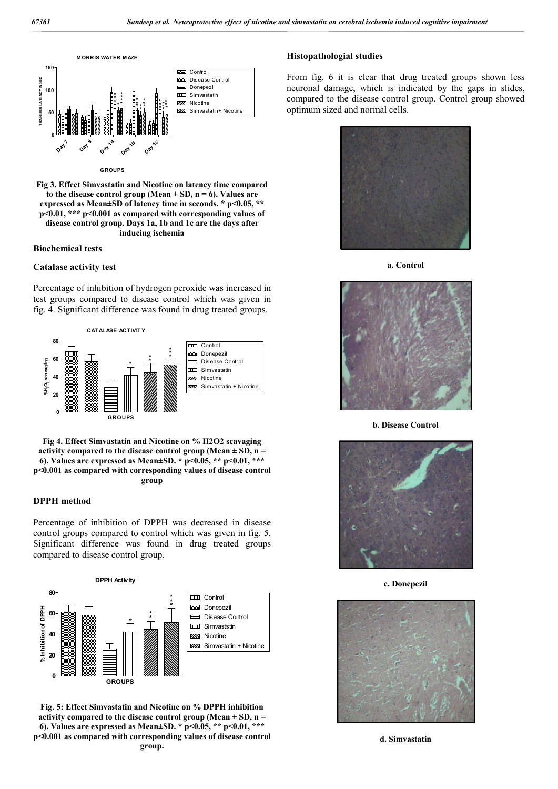

**G ROUPS**

**Fig 3. Effect Simvastatin and Nicotine on latency time compared**  to the disease control group (Mean  $\pm$  SD, n = 6). Values are **expressed as Mean±SD of latency time in seconds. \* p<0.05, \*\* p<0.01, \*\*\* p<0.001 as compared with corresponding values of disease control group. Days 1a, 1b and 1c are the days after inducing ischemia**

#### **Biochemical tests**

#### **Catalase activity test**

Percentage of inhibition of hydrogen peroxide was increased in test groups compared to disease control which was given in fig. 4. Significant difference was found in drug treated groups.



**Fig 4. Effect Simvastatin and Nicotine on % H2O2 scavaging activity compared to the disease control group (Mean ± SD, n = 6). Values are expressed as Mean±SD. \* p<0.05, \*\* p<0.01, \*\*\* p<0.001 as compared with corresponding values of disease control 0.001 group**

#### **DPPH method**

Percentage of inhibition of DPPH was decreased in disease control groups compared to control which was given in fig. 5. Significant difference was found in drug treated groups compared to disease control group.



**Fig. 5: Effect Simvastatin and Nicotine on % DPPH inhibition activity compared to the disease control group (Mean ± SD, n = 6). Values are expressed as Mean±SD. \* p<0.05, \*\* p<0.01, \*\*\* p<0.001 as compared with corresponding values of disease control group.**

From fig. 6 it is clear that drug treated groups shown less neuronal damage, which is indicated by the gaps in slides, compared to the disease control group. Control group showed optimum sized and normal cells. From fig. 6 it is clear that drug treated groups sl<br>neuronal damage, which is indicated by the gaps<br>compared to the disease control group. Control grou



**a. Control**



**b. Disease Control**



**c. Donepezil**



**d. Simvastatin**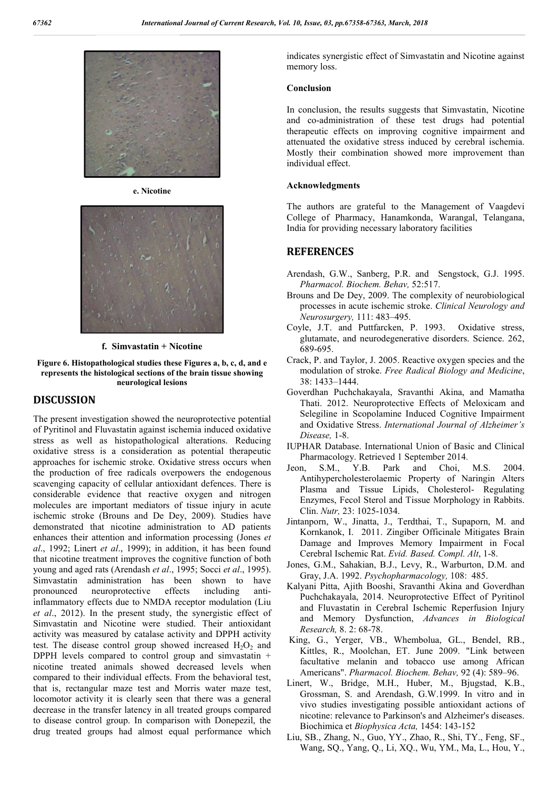

**e. Nicotine**



**f. Simvastatin + Nicotine**

#### **Figure 6. Histopathological studies these Figures a, b, c, d, and e represents the histological sections of the brain tissue showing neurological lesions**

### **DISCUSSION**

The present investigation showed the neuroprotective potential of Pyritinol and Fluvastatin against ischemia induced oxidative stress as well as histopathological alterations. Reducing oxidative stress is a consideration as potential therapeutic approaches for ischemic stroke. Oxidative stress occurs when the production of free radicals overpowers the endogenous scavenging capacity of cellular antioxidant defences. There is considerable evidence that reactive oxygen and nitrogen molecules are important mediators of tissue injury in acute ischemic stroke (Brouns and De Dey, 2009). Studies have demonstrated that nicotine administration to AD patients enhances their attention and information processing (Jones *et al*., 1992; Linert *et al*., 1999); in addition, it has been found that nicotine treatment improves the cognitive function of both young and aged rats (Arendash *et al*., 1995; Socci *et al*., 1995). Simvastatin administration has been shown to have pronounced neuroprotective effects including antiinflammatory effects due to NMDA receptor modulation (Liu *et al*., 2012). In the present study, the synergistic effect of Simvastatin and Nicotine were studied. Their antioxidant activity was measured by catalase activity and DPPH activity test. The disease control group showed increased  $H_2O_2$  and DPPH levels compared to control group and simvastatin + nicotine treated animals showed decreased levels when compared to their individual effects. From the behavioral test, that is, rectangular maze test and Morris water maze test, locomotor activity it is clearly seen that there was a general decrease in the transfer latency in all treated groups compared to disease control group. In comparison with Donepezil, the drug treated groups had almost equal performance which indicates synergistic effect of Simvastatin and Nicotine against memory loss.

### **Conclusion**

In conclusion, the results suggests that Simvastatin, Nicotine and co-administration of these test drugs had potential therapeutic effects on improving cognitive impairment and attenuated the oxidative stress induced by cerebral ischemia. Mostly their combination showed more improvement than individual effect.

#### **Acknowledgments**

The authors are grateful to the Management of Vaagdevi College of Pharmacy, Hanamkonda, Warangal, Telangana, India for providing necessary laboratory facilities

### **REFERENCES**

- Arendash, G.W., Sanberg, P.R. and Sengstock, G.J. 1995. *Pharmacol. Biochem. Behav,* 52:517.
- Brouns and De Dey, 2009. The complexity of neurobiological processes in acute ischemic stroke. *Clinical Neurology and Neurosurgery,* 111: 483–495.
- Coyle, J.T. and Puttfarcken, P. 1993. Oxidative stress, glutamate, and neurodegenerative disorders. Science. 262, 689-695.
- Crack, P. and Taylor, J. 2005. Reactive oxygen species and the modulation of stroke. *Free Radical Biology and Medicine*, 38: 1433–1444.
- Goverdhan Puchchakayala, Sravanthi Akina, and Mamatha Thati. 2012. Neuroprotective Effects of Meloxicam and Selegiline in Scopolamine Induced Cognitive Impairment and Oxidative Stress. *International Journal of Alzheimer's Disease,* 1-8.
- IUPHAR Database. International Union of Basic and Clinical Pharmacology. Retrieved 1 September 2014.
- Jeon, S.M., Y.B. Park and Choi, M.S. 2004. Antihypercholesterolaemic Property of Naringin Alters Plasma and Tissue Lipids, Cholesterol- Regulating Enzymes, Fecol Sterol and Tissue Morphology in Rabbits. Clin. *Nutr,* 23: 1025-1034.
- Jintanporn, W., Jinatta, J., Terdthai, T., Supaporn, M. and Kornkanok, I. 2011. Zingiber Officinale Mitigates Brain Damage and Improves Memory Impairment in Focal Cerebral Ischemic Rat. *Evid. Based. Compl. Alt*, 1-8.
- Jones, G.M., Sahakian, B.J., Levy, R., Warburton, D.M. and Gray, J.A. 1992. *Psychopharmacology,* 108: 485.
- Kalyani Pitta, Ajith Booshi, Sravanthi Akina and Goverdhan Puchchakayala, 2014. Neuroprotective Effect of Pyritinol and Fluvastatin in Cerebral Ischemic Reperfusion Injury and Memory Dysfunction, *Advances in Biological Research,* 8. 2: 68-78.
- King, G., Yerger, VB., Whembolua, GL., Bendel, RB., Kittles, R., Moolchan, ET. June 2009. "Link between facultative melanin and tobacco use among African Americans". *Pharmacol. Biochem. Behav,* 92 (4): 589–96.
- Linert, W., Bridge, M.H., Huber, M., Bjugstad, K.B., Grossman, S. and Arendash, G.W.1999. In vitro and in vivo studies investigating possible antioxidant actions of nicotine: relevance to Parkinson's and Alzheimer's diseases. Biochimica et *Biophysica Acta,* 1454: 143-152
- Liu, SB., Zhang, N., Guo, YY., Zhao, R., Shi, TY., Feng, SF., Wang, SQ., Yang, Q., Li, XQ., Wu, YM., Ma, L., Hou, Y.,